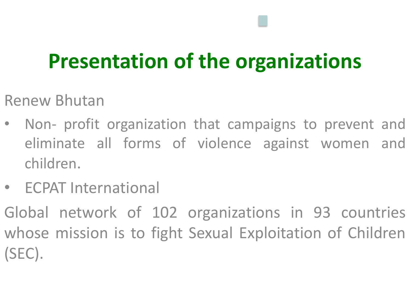#### **Presentation of the organizations**

- Renew Bhutan
- Non- profit organization that campaigns to prevent and eliminate all forms of violence against women and children.
- ECPAT International
- Global network of 102 organizations in 93 countries whose mission is to fight Sexual Exploitation of Children (SEC).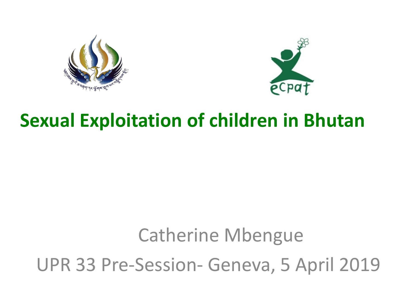



#### **Sexual Exploitation of children in Bhutan**

# Catherine Mbengue UPR 33 Pre-Session- Geneva, 5 April 2019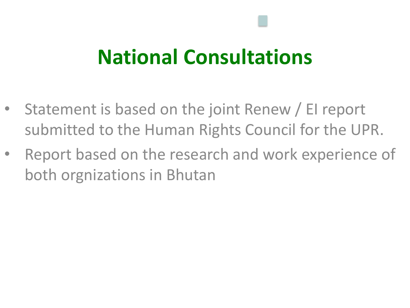#### **National Consultations**

- Statement is based on the joint Renew / EI report submitted to the Human Rights Council for the UPR.
- Report based on the research and work experience of both orgnizations in Bhutan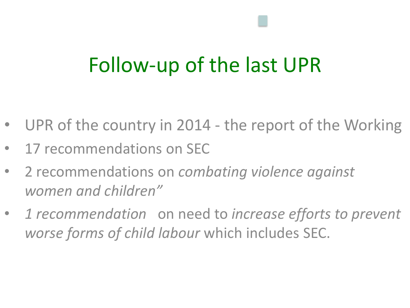## Follow-up of the last UPR

- UPR of the country in 2014 the report of the Working
- 17 recommendations on SEC
- 2 recommendations on *combating violence against women and children"*
- *1 recommendation* on need to *increase efforts to prevent worse forms of child labour* which includes SEC.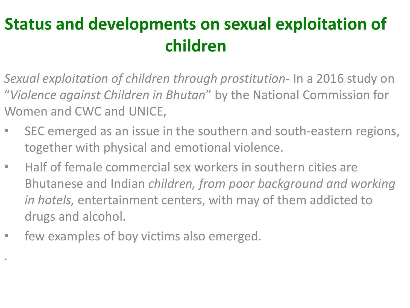#### **Status and developments on sexual exploitation of**  *,***children**

- *Sexual exploitation of children through prostitution* In a 2016 study on "*Violence against Children in Bhutan*" by the National Commission for Women and CWC and UNICE,
- SEC emerged as an issue in the southern and south-eastern regions, together with physical and emotional violence.
- Half of female commercial sex workers in southern cities are Bhutanese and Indian *children, from poor background and working in hotels,* entertainment centers, with may of them addicted to drugs and alcohol.
- few examples of boy victims also emerged.

.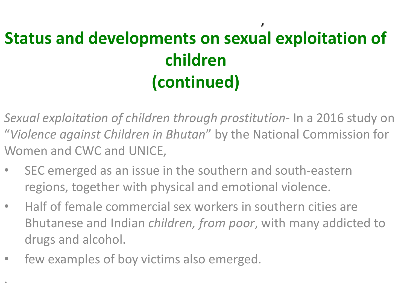#### **Status and developments on sexual exploitation of children (continued)** *,*

- *Sexual exploitation of children through prostitution* In a 2016 study on "*Violence against Children in Bhutan*" by the National Commission for Women and CWC and UNICE,
- SEC emerged as an issue in the southern and south-eastern regions, together with physical and emotional violence.
- Half of female commercial sex workers in southern cities are Bhutanese and Indian *children, from poor*, with many addicted to drugs and alcohol.
- few examples of boy victims also emerged.

.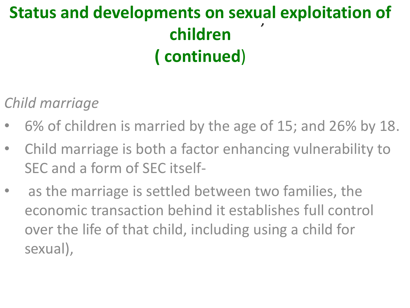#### **Status and developments on sexual exploitation of children ( continued**) *,*

*Child marriage*

- 6% of children is married by the age of 15; and 26% by 18.
- Child marriage is both a factor enhancing vulnerability to SEC and a form of SEC itself-
- as the marriage is settled between two families, the economic transaction behind it establishes full control over the life of that child, including using a child for sexual),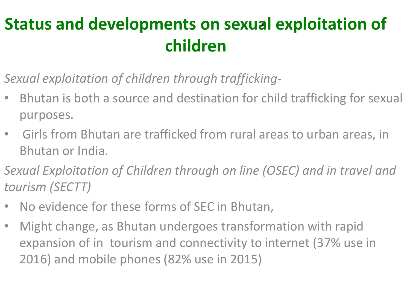#### **Status and developments on sexual exploitation of**  *,***children**

- *Sexual exploitation of children through trafficking*-
- Bhutan is both a source and destination for child trafficking for sexual purposes.
- Girls from Bhutan are trafficked from rural areas to urban areas, in Bhutan or India.
- *Sexual Exploitation of Children through on line (OSEC) and in travel and tourism (SECTT)*
- No evidence for these forms of SEC in Bhutan,
- Might change, as Bhutan undergoes transformation with rapid expansion of in tourism and connectivity to internet (37% use in 2016) and mobile phones (82% use in 2015)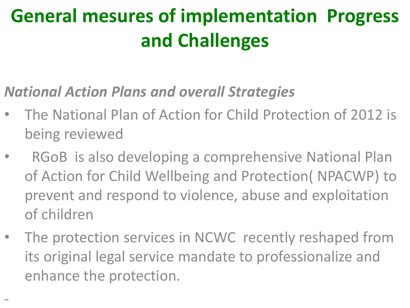## **General mesures of implementation Progress and Challenges**

#### *National Action Plans and overall Strategies*

- The National Plan of Action for Child Protection of 2012 is being reviewed
- RGoB is also developing a comprehensive National Plan of Action for Child Wellbeing and Protection( NPACWP) to prevent and respond to violence, abuse and exploitation of children
- The protection services in NCWC recently reshaped from its original legal service mandate to professionalize and enhance the protection.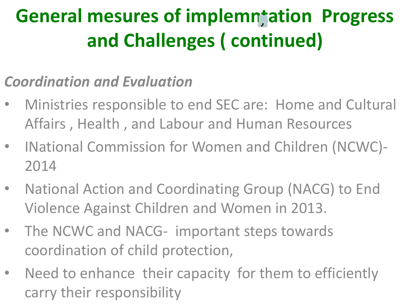#### *Coordination and Evaluation*

- Ministries responsible to end SEC are: Home and Cultural Affairs , Health , and Labour and Human Resources
- INational Commission for Women and Children (NCWC)- 2014
- National Action and Coordinating Group (NACG) to End Violence Against Children and Women in 2013.
- The NCWC and NACG- important steps towards coordination of child protection,
- Need to enhance their capacity for them to efficiently carry their responsibility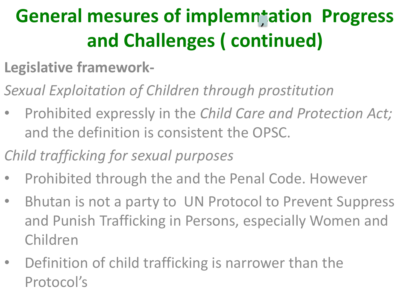- **Legislative framework-**
- *Sexual Exploitation of Children through prostitution*
- Prohibited expressly in the *Child Care and Protection Act;*  and the definition is consistent the OPSC.
- *Child trafficking for sexual purposes*
- Prohibited through the and the Penal Code. However
- Bhutan is not a party to UN Protocol to Prevent Suppress and Punish Trafficking in Persons, especially Women and Children
- Definition of child trafficking is narrower than the Protocol's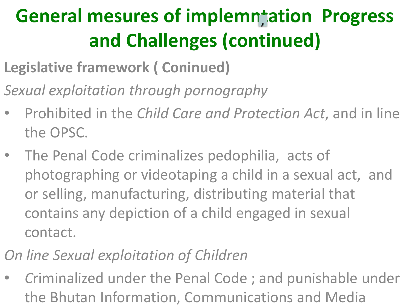- **Legislative framework ( Coninued)**
- *Sexual exploitation through pornography*
- Prohibited in the *Child Care and Protection Act*, and in line the OPSC.
- The Penal Code criminalizes pedophilia, acts of photographing or videotaping a child in a sexual act, and or selling, manufacturing, distributing material that contains any depiction of a child engaged in sexual contact.
- *On line Sexual exploitation of Children*
- *C*riminalized under the Penal Code ; and punishable under the Bhutan Information, Communications and Media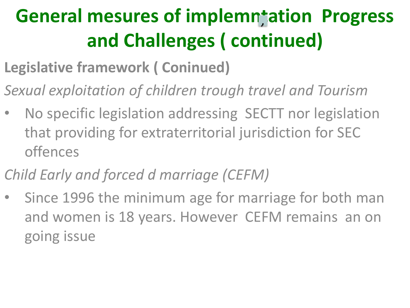- **Legislative framework ( Coninued)**
- *Sexual exploitation of children trough travel and Tourism*
- No specific legislation addressing SECTT nor legislation that providing for extraterritorial jurisdiction for SEC offences
- *Child Early and forced d marriage (CEFM)*
- Since 1996 the minimum age for marriage for both man and women is 18 years. However CEFM remains an on going issue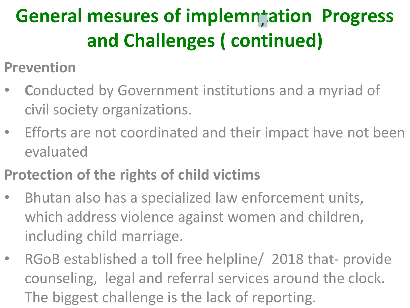- **Prevention**
- **C**onducted by Government institutions and a myriad of civil society organizations.
- Efforts are not coordinated and their impact have not been evaluated
- **Protection of the rights of child victims**
- Bhutan also has a specialized law enforcement units, which address violence against women and children, including child marriage.
- RGoB established a toll free helpline/ 2018 that- provide counseling, legal and referral services around the clock. The biggest challenge is the lack of reporting.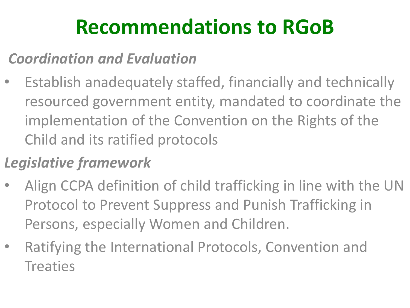# **Recommendations to RGoB**

#### *Coordination and Evaluation*

Establish anadequately staffed, financially and technically resourced government entity, mandated to coordinate the implementation of the Convention on the Rights of the Child and its ratified protocols

#### *Legislative framework*

- Align CCPA definition of child trafficking in line with the UN Protocol to Prevent Suppress and Punish Trafficking in Persons, especially Women and Children.
- Ratifying the International Protocols, Convention and **Treaties**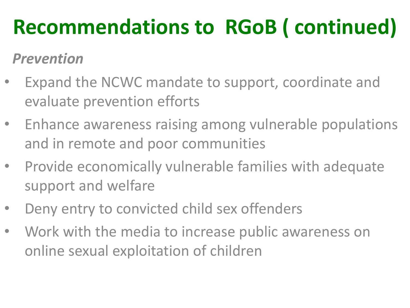# **Recommendations to RGoB ( continued)**

#### *Prevention*

- Expand the NCWC mandate to support, coordinate and evaluate prevention efforts
- Enhance awareness raising among vulnerable populations and in remote and poor communities
- Provide economically vulnerable families with adequate support and welfare
- Deny entry to convicted child sex offenders
- Work with the media to increase public awareness on online sexual exploitation of children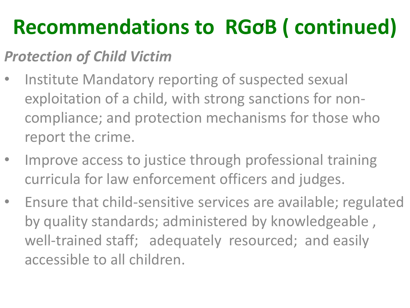# **Recommendations to RGoB ( continued)**  *,*

#### *Protection of Child Victim*

- Institute Mandatory reporting of suspected sexual exploitation of a child, with strong sanctions for noncompliance; and protection mechanisms for those who report the crime.
- Improve access to justice through professional training curricula for law enforcement officers and judges.
- Ensure that child-sensitive services are available; regulated by quality standards; administered by knowledgeable , well-trained staff; adequately resourced; and easily accessible to all children.